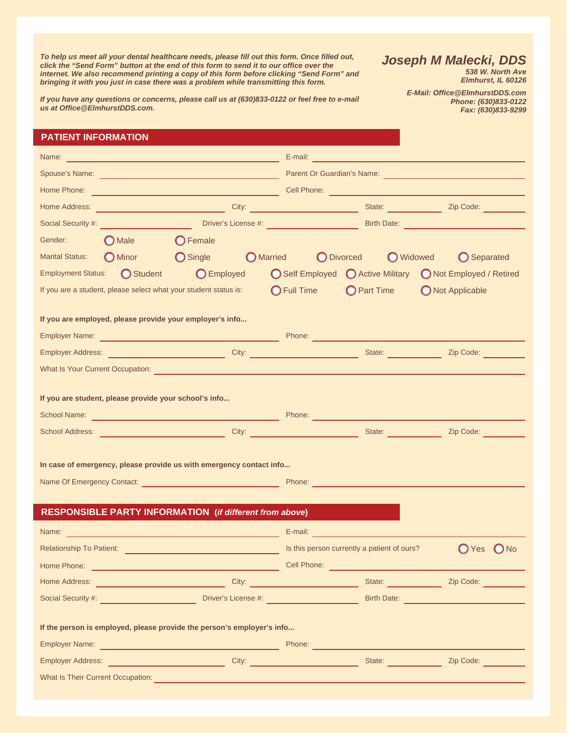*To help us meet all your dental healthcare needs, please fill out this form. Once filled out, click the "Send Form" button at the end of this form to send it to our office over the internet. We also recommend printing a copy of this form before clicking "Send Form" and bringing it with you just in case there was a problem while transmitting this form.* 

*Joseph M Malecki, DDS 538 W. North Ave* 

*E-Mail: Office@ElmhurstDDS.com* 

*Elmhurst, IL 60126* 

*Phone: (630)833-0122 Fax: (630)833-9299* 

*If you have any questions or concerns, please call us at (630)833-0122 or feel free to e-mail us at Office@ElmhurstDDS.com.* 

### **PATIENT INFORMATION**

| Name:                  | <u> 1999 - Johann Harrison, mars eta bat eta bat eta bat eta bat eta bat eta bat eta bat eta bat eta bat eta bat</u>                                                                                                                 |                   |                      | E-mail: 2008. [2018] [2018] [2018] [2018] [2018] [2018] [2018] [2018] [2018] [2018] [2018] [2018] [2018] [2018] [2018] [2018] [2018] [2018] [2018] [2018] [2018] [2018] [2018] [2018] [2018] [2018] [2018] [2018] [2018] [2018 |                    |        |
|------------------------|--------------------------------------------------------------------------------------------------------------------------------------------------------------------------------------------------------------------------------------|-------------------|----------------------|--------------------------------------------------------------------------------------------------------------------------------------------------------------------------------------------------------------------------------|--------------------|--------|
|                        | Spouse's Name: <u>contract and a series of the series of the series of the series of the series of the series of the series of the series of the series of the series of the series of the series of the series of the series of</u> |                   |                      | Parent Or Guardian's Name:                                                                                                                                                                                                     |                    |        |
|                        |                                                                                                                                                                                                                                      |                   |                      |                                                                                                                                                                                                                                |                    |        |
| Home Address:          | City: City: City: City: State: City: State: Zip Code: City: City: City: City: City: City: City: City: City: City: City: City: City: City: City: City: City: City: City: City: City: City: City: City: City: City: City: City:        |                   |                      |                                                                                                                                                                                                                                |                    |        |
|                        |                                                                                                                                                                                                                                      |                   |                      |                                                                                                                                                                                                                                |                    |        |
| Gender:                | $\bigcirc$ Male                                                                                                                                                                                                                      | $\bigcirc$ Female |                      |                                                                                                                                                                                                                                |                    |        |
| <b>Marital Status:</b> | O Minor C Single C Married                                                                                                                                                                                                           |                   |                      | O Divorced O Widowed                                                                                                                                                                                                           | <b>O</b> Separated |        |
|                        | Employment Status: Student                                                                                                                                                                                                           |                   |                      | ◯ Employed ◯ Self Employed ◯ Active Military ◯ Not Employed / Retired                                                                                                                                                          |                    |        |
|                        | If you are a student, please select what your student status is:                                                                                                                                                                     |                   | $\bigcirc$ Full Time | O Part Time O Not Applicable                                                                                                                                                                                                   |                    |        |
|                        | If you are employed, please provide your employer's info                                                                                                                                                                             |                   |                      |                                                                                                                                                                                                                                |                    |        |
|                        | Employer Address: <u>Consumers Communication</u> City: City: City: City: State: Communication City: City: Code: City: Communication City: City: Consumers Communication City: Communication City: Communication City: Communication  |                   |                      |                                                                                                                                                                                                                                |                    |        |
|                        | What Is Your Current Occupation: Network of the Contract of the Contract of the Contract of the Contract of the                                                                                                                      |                   |                      |                                                                                                                                                                                                                                |                    |        |
|                        | If you are student, please provide your school's info                                                                                                                                                                                |                   |                      |                                                                                                                                                                                                                                |                    |        |
|                        |                                                                                                                                                                                                                                      |                   |                      |                                                                                                                                                                                                                                |                    |        |
|                        | In case of emergency, please provide us with emergency contact info                                                                                                                                                                  |                   |                      |                                                                                                                                                                                                                                |                    |        |
|                        |                                                                                                                                                                                                                                      |                   |                      |                                                                                                                                                                                                                                |                    |        |
|                        | <b>RESPONSIBLE PARTY INFORMATION</b> (if different from above)                                                                                                                                                                       |                   |                      |                                                                                                                                                                                                                                |                    |        |
|                        |                                                                                                                                                                                                                                      |                   |                      |                                                                                                                                                                                                                                |                    |        |
|                        | Relationship To Patient: <u>Contract the Contract of Contract of Contract of School School and School School School School School School School School School School School School School School School School School School Sch</u> |                   |                      |                                                                                                                                                                                                                                | Yes                | ( ) No |
|                        |                                                                                                                                                                                                                                      |                   | Cell Phone:          |                                                                                                                                                                                                                                |                    |        |
|                        | Home Address: <u>Communication of City:</u> City: City: City: State: State: Communication of Cip Code: Communication                                                                                                                 |                   |                      |                                                                                                                                                                                                                                |                    |        |
|                        | Social Security #: Network of the Contract of the Contract of the Contract of the Contract of the Contract of the Contract of the Contract of the Contract of the Contract of the Contract of the Contract of the Contract of        |                   |                      |                                                                                                                                                                                                                                |                    |        |
|                        | If the person is employed, please provide the person's employer's info                                                                                                                                                               |                   |                      |                                                                                                                                                                                                                                |                    |        |
|                        | Employer Name: <u>Conservation of the Conservation of the Phone:</u> Phone: Conservation of the Conservation of the Conservation of the Conservation of the Conservation of the Conservation of the Conservation of the Conservatio  |                   |                      |                                                                                                                                                                                                                                |                    |        |
|                        | Employer Address: <u>Communication of City: City: City: City: State: Communication of City: City Code: City: City: City: City: Content City: City: Content City: City: Content City: City: City: City: City: City: City: City: C</u> |                   |                      |                                                                                                                                                                                                                                |                    |        |
|                        | What Is Their Current Occupation: New York Contract of the Contract of the Contract of the Contract of the Contract of the Contract of the Contract of the Contract of the Contract of the Contract of the Contract of the Con       |                   |                      |                                                                                                                                                                                                                                |                    |        |
|                        |                                                                                                                                                                                                                                      |                   |                      |                                                                                                                                                                                                                                |                    |        |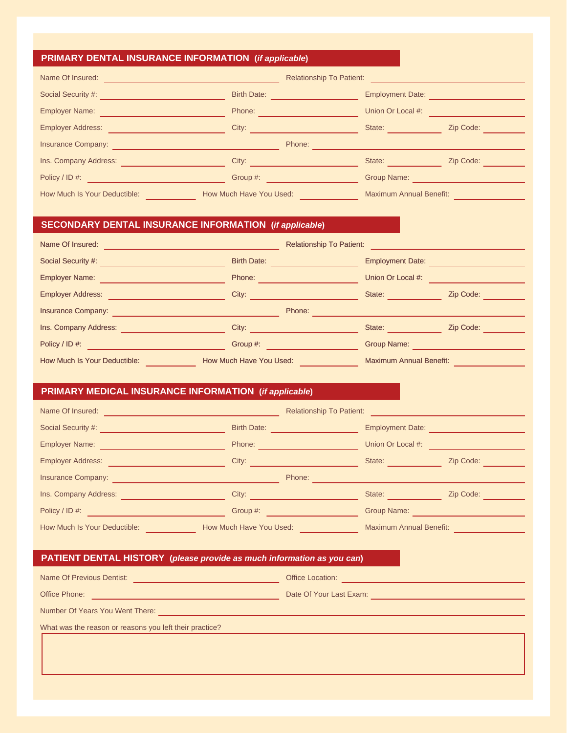## **PRIMARY DENTAL INSURANCE INFORMATION (***if applicable***)**

| <b>Birth Date:</b>      | <b>Employment Date:</b>        |                                 |
|-------------------------|--------------------------------|---------------------------------|
| Phone:                  | Union Or Local #:              |                                 |
| City:                   | State:                         | Zip Code:                       |
| Phone:                  |                                |                                 |
| City:                   | State:                         | Zip Code:                       |
| Group #:                | Group Name:                    |                                 |
| How Much Have You Used: | <b>Maximum Annual Benefit:</b> |                                 |
|                         |                                | <b>Relationship To Patient:</b> |

## **SECONDARY DENTAL INSURANCE INFORMATION (***if applicable***)**

| Name Of Insured:                    |                         | <b>Relationship To Patient:</b> |                                |           |
|-------------------------------------|-------------------------|---------------------------------|--------------------------------|-----------|
| Social Security #:                  | <b>Birth Date:</b>      |                                 | <b>Employment Date:</b>        |           |
| <b>Employer Name:</b>               | Phone:                  |                                 | Union Or Local #:              |           |
| <b>Employer Address:</b>            | City:                   |                                 | State:                         | Zip Code: |
| <b>Insurance Company:</b>           |                         | Phone:                          |                                |           |
| Ins. Company Address:               | City:                   |                                 | State:                         | Zip Code: |
| Policy / ID #:                      | Group #:                |                                 | Group Name:                    |           |
| <b>How Much Is Your Deductible:</b> | How Much Have You Used: |                                 | <b>Maximum Annual Benefit:</b> |           |

## **PRIMARY MEDICAL INSURANCE INFORMATION (***if applicable***)**

| Name Of Insured:             | <b>Relationship To Patient:</b> |                                |           |
|------------------------------|---------------------------------|--------------------------------|-----------|
| Social Security #:           | <b>Birth Date:</b>              | <b>Employment Date:</b>        |           |
| <b>Employer Name:</b>        | Phone:                          | Union Or Local #:              |           |
| <b>Employer Address:</b>     | City:                           | State:                         | Zip Code: |
| <b>Insurance Company:</b>    | Phone:                          |                                |           |
| Ins. Company Address:        | City:                           | State:                         | Zip Code: |
| Policy / ID #:               | Group #:                        | Group Name:                    |           |
| How Much Is Your Deductible: | How Much Have You Used:         | <b>Maximum Annual Benefit:</b> |           |

## **PATIENT DENTAL HISTORY (***please provide as much information as you can***)**

| Name Of Previous Dentist:                               | <b>Office Location:</b> |
|---------------------------------------------------------|-------------------------|
| Office Phone:                                           | Date Of Your Last Exam: |
| Number Of Years You Went There:                         |                         |
| What was the reason or reasons you left their practice? |                         |
|                                                         |                         |
|                                                         |                         |
|                                                         |                         |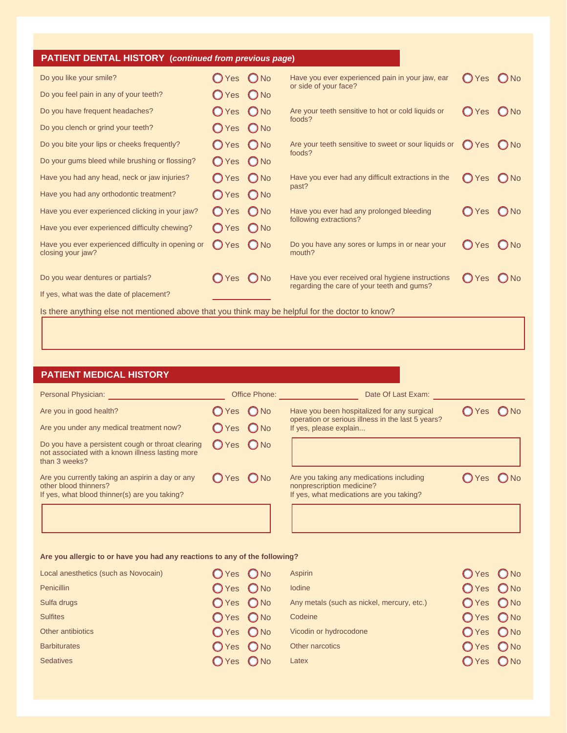| <b>PATIENT DENTAL HISTORY</b> (continued from previous page)            |                |     |                                                                          |                |     |
|-------------------------------------------------------------------------|----------------|-----|--------------------------------------------------------------------------|----------------|-----|
| Do you like your smile?                                                 | $O$ Yes $O$ No |     | Have you ever experienced pain in your jaw, ear<br>or side of your face? | $OYes$ $ONo$   |     |
| Do you feel pain in any of your teeth?                                  | OYes ONo       |     |                                                                          |                |     |
| Do you have frequent headaches?                                         | $O$ Yes $O$ No |     | Are your teeth sensitive to hot or cold liquids or<br>foods?             | $OYes$ $ONo$   |     |
| Do you clench or grind your teeth?                                      | $O$ Yes $O$ No |     |                                                                          |                |     |
| Do you bite your lips or cheeks frequently?                             | OYes ONo       |     | Are your teeth sensitive to sweet or sour liquids or<br>foods?           | ◯ Yes          | ONo |
| Do your gums bleed while brushing or flossing?                          | OYes ONo       |     |                                                                          |                |     |
| Have you had any head, neck or jaw injuries?                            | OYes ONo       |     | Have you ever had any difficult extractions in the<br>past?              | $OYes$ $O$ No  |     |
| Have you had any orthodontic treatment?                                 | $O$ Yes $O$ No |     |                                                                          |                |     |
| Have you ever experienced clicking in your jaw?                         | $OYes$ $ONo$   |     | Have you ever had any prolonged bleeding<br>following extractions?       | $O$ Yes $O$ No |     |
| Have you ever experienced difficulty chewing?                           | $OYes$ $ONo$   |     |                                                                          |                |     |
| Have you ever experienced difficulty in opening or<br>closing your jaw? | $OYes$ $ONo$   |     | Do you have any sores or lumps in or near your<br>mouth?                 | OYes           | ONo |
| Do you wear dentures or partials?                                       | $\bigcirc$ Yes | ONo | Have you ever received oral hygiene instructions                         | (C) Yes        | ONo |
| If yes, what was the date of placement?                                 |                |     | regarding the care of your teeth and gums?                               |                |     |

Is there anything else not mentioned above that you think may be helpful for the doctor to know?

# **PATIENT MEDICAL HISTORY**

| Personal Physician:                                                                                                        |              | Office Phone: | Date Of Last Exam:                                                                                                |                |  |
|----------------------------------------------------------------------------------------------------------------------------|--------------|---------------|-------------------------------------------------------------------------------------------------------------------|----------------|--|
| Are you in good health?                                                                                                    | OYes ONo     |               | Have you been hospitalized for any surgical                                                                       | $O$ Yes $O$ No |  |
| Are you under any medical treatment now?                                                                                   | OYes ONo     |               | operation or serious illness in the last 5 years?<br>If yes, please explain                                       |                |  |
| Do you have a persistent cough or throat clearing<br>not associated with a known illness lasting more<br>than 3 weeks?     | O Yes O No   |               |                                                                                                                   |                |  |
| Are you currently taking an aspirin a day or any<br>other blood thinners?<br>If yes, what blood thinner(s) are you taking? | $OYes$ $ONo$ |               | Are you taking any medications including<br>nonprescription medicine?<br>If yes, what medications are you taking? | $OYes$ $ONo$   |  |
|                                                                                                                            |              |               |                                                                                                                   |                |  |

### **Are you allergic to or have you had any reactions to any of the following?**

| Local anesthetics (such as Novocain) | $OYes$ $ONo$ | Aspirin                                    | $OYes$ $ONo$ |  |
|--------------------------------------|--------------|--------------------------------------------|--------------|--|
| <b>Penicillin</b>                    | $OYes$ $ONo$ | <b>lodine</b>                              | $OYes$ $ONo$ |  |
| Sulfa drugs                          | $OYes$ $ONo$ | Any metals (such as nickel, mercury, etc.) | $OYes$ $ONo$ |  |
| <b>Sulfites</b>                      | $OYes$ $ONo$ | Codeine                                    | $OYes$ $ONo$ |  |
| Other antibiotics                    | $OYes$ $ONo$ | Vicodin or hydrocodone                     | $OYes$ $ONo$ |  |
| <b>Barbiturates</b>                  | $OYes$ $ONo$ | Other narcotics                            | $OYes$ $ONo$ |  |
| <b>Sedatives</b>                     | OYes ONo     | Latex                                      | $OYes$ $ONo$ |  |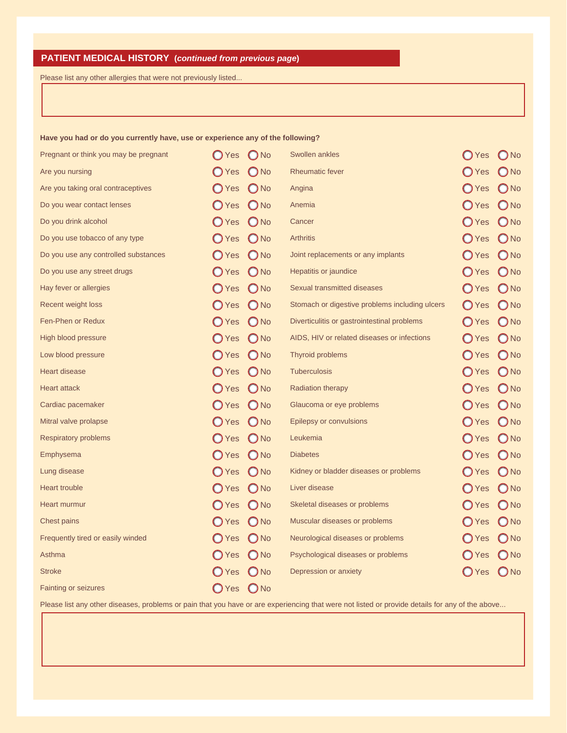# **PATIENT MEDICAL HISTORY (***continued from previous page***)**

Please list any other allergies that were not previously listed...

#### **Have you had or do you currently have, use or experience any of the following?**

| Pregnant or think you may be pregnant | (C) Yes        | $O$ No        | <b>Swollen ankles</b>                          | $\bigcirc$ Yes | ONo           |
|---------------------------------------|----------------|---------------|------------------------------------------------|----------------|---------------|
| Are you nursing                       | $\bigcirc$ Yes | $\bigcirc$ No | <b>Rheumatic fever</b>                         | $\bigcirc$ Yes | $\bigcirc$ No |
| Are you taking oral contraceptives    | $\bigcirc$ Yes | $O$ No        | Angina                                         | <b>O</b> Yes   | $\bigcirc$ No |
| Do you wear contact lenses            | $\bigcirc$ Yes | $O$ No        | Anemia                                         | $\bigcirc$ Yes | $O$ No        |
| Do you drink alcohol                  | $\bigcirc$ Yes | $O$ No        | Cancer                                         | $\bigcirc$ Yes | $\bigcirc$ No |
| Do you use tobacco of any type        | $\bigcirc$ Yes | $\bigcirc$ No | <b>Arthritis</b>                               | $\bigcirc$ Yes | $\bigcirc$ No |
| Do you use any controlled substances  | $\bigcirc$ Yes | $\bigcirc$ No | Joint replacements or any implants             | $\bigcirc$ Yes | $\bigcirc$ No |
| Do you use any street drugs           | <b>O</b> Yes   | $\bigcirc$ No | Hepatitis or jaundice                          | $\bigcirc$ Yes | $O$ No        |
| Hay fever or allergies                | $\bigcirc$ Yes | $\bigcirc$ No | <b>Sexual transmitted diseases</b>             | $\bigcirc$ Yes | $\bigcirc$ No |
| Recent weight loss                    | $\bigcirc$ Yes | $O$ No        | Stomach or digestive problems including ulcers | $\bigcirc$ Yes | $\bigcirc$ No |
| Fen-Phen or Redux                     | $\bigcirc$ Yes | $\bigcirc$ No | Diverticulitis or gastrointestinal problems    | $\bigcirc$ Yes | $O$ No        |
| High blood pressure                   | $\bigcirc$ Yes | $O$ No        | AIDS, HIV or related diseases or infections    | $\bigcirc$ Yes | $\bigcirc$ No |
| Low blood pressure                    | $\bigcirc$ Yes | $O$ No        | Thyroid problems                               | $\bigcirc$ Yes | $O$ No        |
| <b>Heart disease</b>                  | $\bigcirc$ Yes | $\bigcirc$ No | <b>Tuberculosis</b>                            | $\bigcirc$ Yes | $\bigcirc$ No |
| <b>Heart attack</b>                   | $\bigcirc$ Yes | $\bigcirc$ No | Radiation therapy                              | $\bigcirc$ Yes | $\bigcirc$ No |
| Cardiac pacemaker                     | $\bigcirc$ Yes | $\bigcirc$ No | Glaucoma or eye problems                       | $\bigcirc$ Yes | $\bigcirc$ No |
| Mitral valve prolapse                 | $\bigcirc$ Yes | $\bigcirc$ No | Epilepsy or convulsions                        | $\bigcirc$ Yes | $\bigcirc$ No |
| <b>Respiratory problems</b>           | $\bigcirc$ Yes | $O$ No        | Leukemia                                       | $\bigcirc$ Yes | $O$ No        |
| Emphysema                             | $\bigcirc$ Yes | $\bigcirc$ No | <b>Diabetes</b>                                | $\bigcirc$ Yes | $\bigcirc$ No |
| Lung disease                          | $\bigcirc$ Yes | $O$ No        | Kidney or bladder diseases or problems         | $\bigcirc$ Yes | $\bigcirc$ No |
| <b>Heart trouble</b>                  | $\bigcirc$ Yes | $O$ No        | Liver disease                                  | $\bigcirc$ Yes | $\bigcirc$ No |
| Heart murmur                          | $\bigcirc$ Yes | $\bigcirc$ No | Skeletal diseases or problems                  | $\bigcirc$ Yes | $\bigcirc$ No |
| <b>Chest pains</b>                    | $\bigcirc$ Yes | $O$ No        | Muscular diseases or problems                  | $\bigcirc$ Yes | $O$ No        |
| Frequently tired or easily winded     | $\bigcirc$ Yes | $O$ No        | Neurological diseases or problems              | $\bigcirc$ Yes | $O$ No        |
| Asthma                                | <b>O</b> Yes   | $\bigcirc$ No | Psychological diseases or problems             | $\bigcirc$ Yes | $\bigcirc$ No |
| <b>Stroke</b>                         | $\bigcirc$ Yes | $\bigcirc$ No | Depression or anxiety                          | $\bigcirc$ Yes | $O$ No        |
| <b>Fainting or seizures</b>           | $\bigcirc$ Yes | $\bigcirc$ No |                                                |                |               |

Please list any other diseases, problems or pain that you have or are experiencing that were not listed or provide details for any of the above...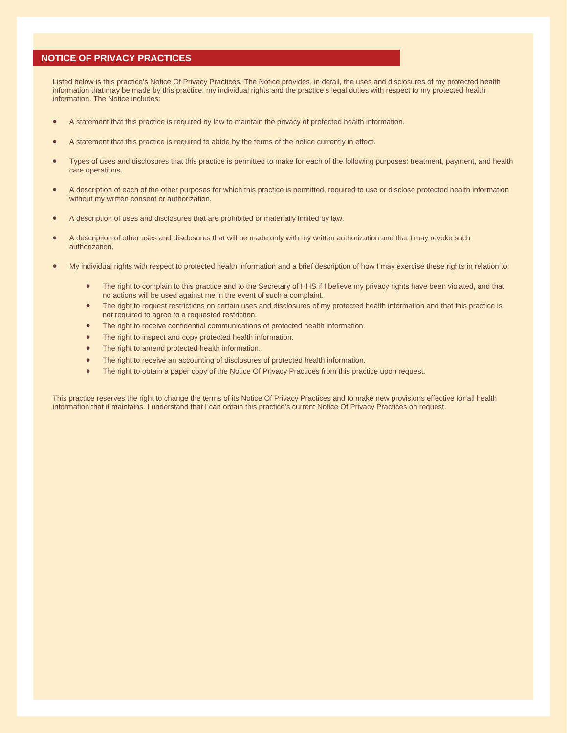### **NOTICE OF PRIVACY PRACTICES**

Listed below is this practice's Notice Of Privacy Practices. The Notice provides, in detail, the uses and disclosures of my protected health information that may be made by this practice, my individual rights and the practice's legal duties with respect to my protected health information. The Notice includes:

- A statement that this practice is required by law to maintain the privacy of protected health information.
- A statement that this practice is required to abide by the terms of the notice currently in effect.
- Types of uses and disclosures that this practice is permitted to make for each of the following purposes: treatment, payment, and health care operations.
- A description of each of the other purposes for which this practice is permitted, required to use or disclose protected health information without my written consent or authorization.
- A description of uses and disclosures that are prohibited or materially limited by law.
- A description of other uses and disclosures that will be made only with my written authorization and that I may revoke such authorization.
- My individual rights with respect to protected health information and a brief description of how I may exercise these rights in relation to:
	- The right to complain to this practice and to the Secretary of HHS if I believe my privacy rights have been violated, and that no actions will be used against me in the event of such a complaint.
	- The right to request restrictions on certain uses and disclosures of my protected health information and that this practice is not required to agree to a requested restriction.
	- The right to receive confidential communications of protected health information.
	- The right to inspect and copy protected health information.
	- The right to amend protected health information.
	- The right to receive an accounting of disclosures of protected health information.
	- The right to obtain a paper copy of the Notice Of Privacy Practices from this practice upon request.

This practice reserves the right to change the terms of its Notice Of Privacy Practices and to make new provisions effective for all health information that it maintains. I understand that I can obtain this practice's current Notice Of Privacy Practices on request.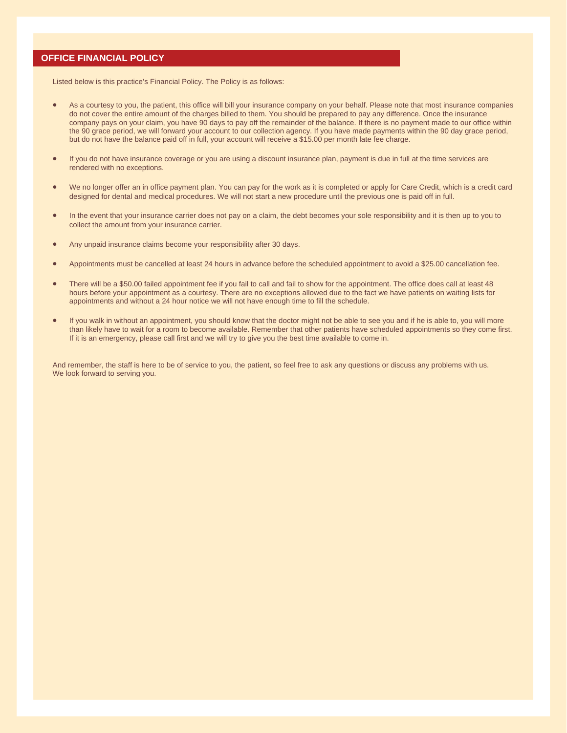### **OFFICE FINANCIAL POLICY**

Listed below is this practice's Financial Policy. The Policy is as follows:

- As a courtesy to you, the patient, this office will bill your insurance company on your behalf. Please note that most insurance companies do not cover the entire amount of the charges billed to them. You should be prepared to pay any difference. Once the insurance company pays on your claim, you have 90 days to pay off the remainder of the balance. If there is no payment made to our office within the 90 grace period, we will forward your account to our collection agency. If you have made payments within the 90 day grace period, but do not have the balance paid off in full, your account will receive a \$15.00 per month late fee charge.
- If you do not have insurance coverage or you are using a discount insurance plan, payment is due in full at the time services are rendered with no exceptions.
- We no longer offer an in office payment plan. You can pay for the work as it is completed or apply for Care Credit, which is a credit card designed for dental and medical procedures. We will not start a new procedure until the previous one is paid off in full.
- In the event that your insurance carrier does not pay on a claim, the debt becomes your sole responsibility and it is then up to you to collect the amount from your insurance carrier.
- Any unpaid insurance claims become your responsibility after 30 days.
- Appointments must be cancelled at least 24 hours in advance before the scheduled appointment to avoid a \$25.00 cancellation fee.
- There will be a \$50.00 failed appointment fee if you fail to call and fail to show for the appointment. The office does call at least 48 hours before your appointment as a courtesy. There are no exceptions allowed due to the fact we have patients on waiting lists for appointments and without a 24 hour notice we will not have enough time to fill the schedule.
- If you walk in without an appointment, you should know that the doctor might not be able to see you and if he is able to, you will more than likely have to wait for a room to become available. Remember that other patients have scheduled appointments so they come first. If it is an emergency, please call first and we will try to give you the best time available to come in.

And remember, the staff is here to be of service to you, the patient, so feel free to ask any questions or discuss any problems with us. We look forward to serving you.